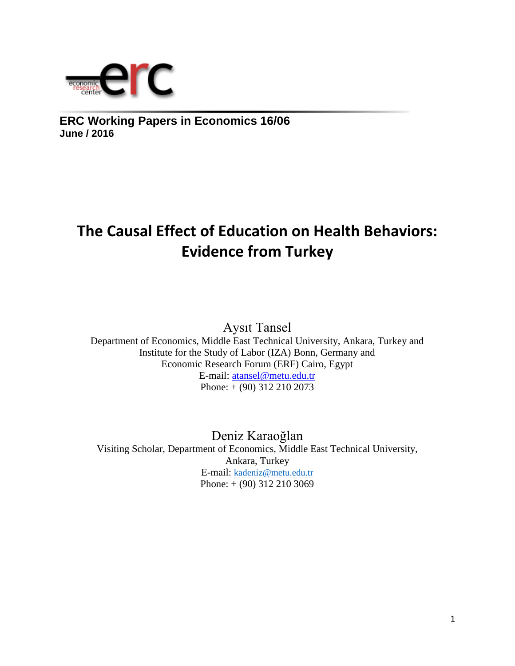

**ERC Working Papers in Economics 16/06 June / 2016**

# **The Causal Effect of Education on Health Behaviors: Evidence from Turkey**

Aysıt Tansel

Department of Economics, Middle East Technical University, Ankara, Turkey and Institute for the Study of Labor (IZA) Bonn, Germany and Economic Research Forum (ERF) Cairo, Egypt E-mail: [atansel@metu.edu.tr](mailto:atansel@metu.edu.tr) Phone: + (90) 312 210 2073

Deniz Karaoğlan Visiting Scholar, Department of Economics, Middle East Technical University, Ankara, Turkey E-mail: [kadeniz@metu.edu.tr](mailto:kadeniz@metu.edu.tr) Phone: + (90) 312 210 3069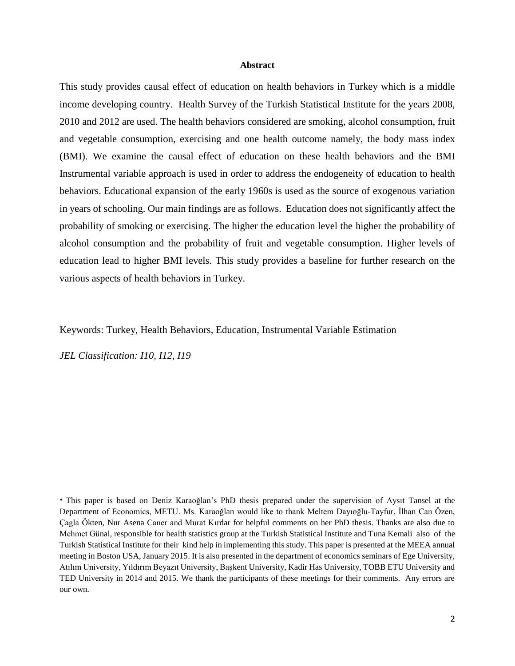#### **Abstract**

This study provides causal effect of education on health behaviors in Turkey which is a middle income developing country. Health Survey of the Turkish Statistical Institute for the years 2008, 2010 and 2012 are used. The health behaviors considered are smoking, alcohol consumption, fruit and vegetable consumption, exercising and one health outcome namely, the body mass index (BMI). We examine the causal effect of education on these health behaviors and the BMI Instrumental variable approach is used in order to address the endogeneity of education to health behaviors. Educational expansion of the early 1960s is used as the source of exogenous variation in years of schooling. Our main findings are as follows. Education does not significantly affect the probability of smoking or exercising. The higher the education level the higher the probability of alcohol consumption and the probability of fruit and vegetable consumption. Higher levels of education lead to higher BMI levels. This study provides a baseline for further research on the various aspects of health behaviors in Turkey.

#### Keywords: Turkey, Health Behaviors, Education, Instrumental Variable Estimation

*JEL Classification: I10, I12, I19*

**\*** This paper is based on Deniz Karaoğlan's PhD thesis prepared under the supervision of Aysıt Tansel at the Department of Economics, METU. Ms. Karaoğlan would like to thank Meltem Dayıoğlu-Tayfur, İlhan Can Özen, Çagla Ökten, Nur Asena Caner and Murat Kırdar for helpful comments on her PhD thesis. Thanks are also due to Mehmet Günal, responsible for health statistics group at the Turkish Statistical Institute and Tuna Kemali also of the Turkish Statistical Institute for their kind help in implementing this study. This paper is presented at the MEEA annual meeting in Boston USA, January 2015. It is also presented in the department of economics seminars of Ege University, Atılım University, Yıldırım Beyazıt University, Başkent University, Kadir Has University, TOBB ETU University and TED University in 2014 and 2015. We thank the participants of these meetings for their comments. Any errors are our own.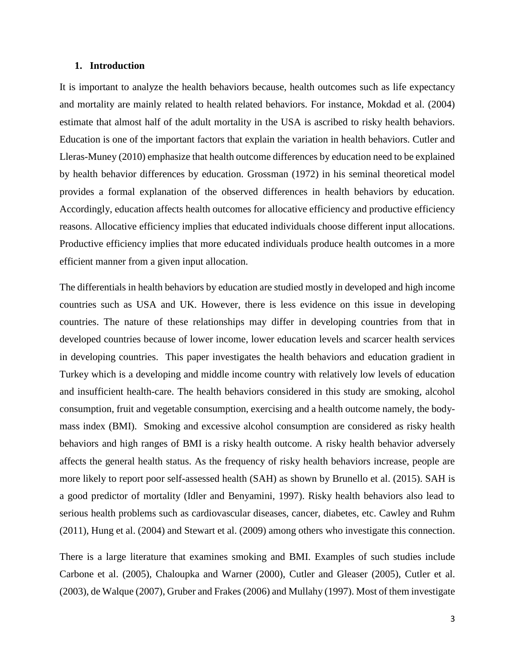#### **1. Introduction**

It is important to analyze the health behaviors because, health outcomes such as life expectancy and mortality are mainly related to health related behaviors. For instance, Mokdad et al. (2004) estimate that almost half of the adult mortality in the USA is ascribed to risky health behaviors. Education is one of the important factors that explain the variation in health behaviors. Cutler and Lleras-Muney (2010) emphasize that health outcome differences by education need to be explained by health behavior differences by education. Grossman (1972) in his seminal theoretical model provides a formal explanation of the observed differences in health behaviors by education. Accordingly, education affects health outcomes for allocative efficiency and productive efficiency reasons. Allocative efficiency implies that educated individuals choose different input allocations. Productive efficiency implies that more educated individuals produce health outcomes in a more efficient manner from a given input allocation.

The differentials in health behaviors by education are studied mostly in developed and high income countries such as USA and UK. However, there is less evidence on this issue in developing countries. The nature of these relationships may differ in developing countries from that in developed countries because of lower income, lower education levels and scarcer health services in developing countries. This paper investigates the health behaviors and education gradient in Turkey which is a developing and middle income country with relatively low levels of education and insufficient health-care. The health behaviors considered in this study are smoking, alcohol consumption, fruit and vegetable consumption, exercising and a health outcome namely, the bodymass index (BMI). Smoking and excessive alcohol consumption are considered as risky health behaviors and high ranges of BMI is a risky health outcome. A risky health behavior adversely affects the general health status. As the frequency of risky health behaviors increase, people are more likely to report poor self-assessed health (SAH) as shown by Brunello et al. (2015). SAH is a good predictor of mortality (Idler and Benyamini, 1997). Risky health behaviors also lead to serious health problems such as cardiovascular diseases, cancer, diabetes, etc. Cawley and Ruhm (2011), Hung et al. (2004) and Stewart et al. (2009) among others who investigate this connection.

There is a large literature that examines smoking and BMI. Examples of such studies include Carbone et al. (2005), Chaloupka and Warner (2000), Cutler and Gleaser (2005), Cutler et al. (2003), de Walque (2007), Gruber and Frakes (2006) and Mullahy (1997). Most of them investigate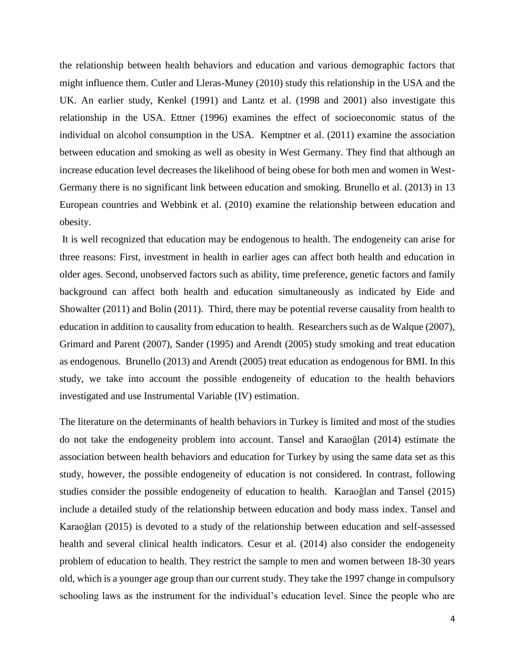the relationship between health behaviors and education and various demographic factors that might influence them. Cutler and Lleras-Muney (2010) study this relationship in the USA and the UK. An earlier study, Kenkel (1991) and Lantz et al. (1998 and 2001) also investigate this relationship in the USA. Ettner (1996) examines the effect of socioeconomic status of the individual on alcohol consumption in the USA. Kemptner et al. (2011) examine the association between education and smoking as well as obesity in West Germany. They find that although an increase education level decreases the likelihood of being obese for both men and women in West-Germany there is no significant link between education and smoking. Brunello et al. (2013) in 13 European countries and Webbink et al. (2010) examine the relationship between education and obesity.

It is well recognized that education may be endogenous to health. The endogeneity can arise for three reasons: First, investment in health in earlier ages can affect both health and education in older ages. Second, unobserved factors such as ability, time preference, genetic factors and family background can affect both health and education simultaneously as indicated by Eide and Showalter (2011) and Bolin (2011). Third, there may be potential reverse causality from health to education in addition to causality from education to health. Researchers such as de Walque (2007), Grimard and Parent (2007), Sander (1995) and Arendt (2005) study smoking and treat education as endogenous. Brunello (2013) and Arendt (2005) treat education as endogenous for BMI. In this study, we take into account the possible endogeneity of education to the health behaviors investigated and use Instrumental Variable (IV) estimation.

The literature on the determinants of health behaviors in Turkey is limited and most of the studies do not take the endogeneity problem into account. Tansel and Karaoğlan (2014) estimate the association between health behaviors and education for Turkey by using the same data set as this study, however, the possible endogeneity of education is not considered. In contrast, following studies consider the possible endogeneity of education to health. Karaoğlan and Tansel (2015) include a detailed study of the relationship between education and body mass index. Tansel and Karaoğlan (2015) is devoted to a study of the relationship between education and self-assessed health and several clinical health indicators. Cesur et al. (2014) also consider the endogeneity problem of education to health. They restrict the sample to men and women between 18-30 years old, which is a younger age group than our current study. They take the 1997 change in compulsory schooling laws as the instrument for the individual's education level. Since the people who are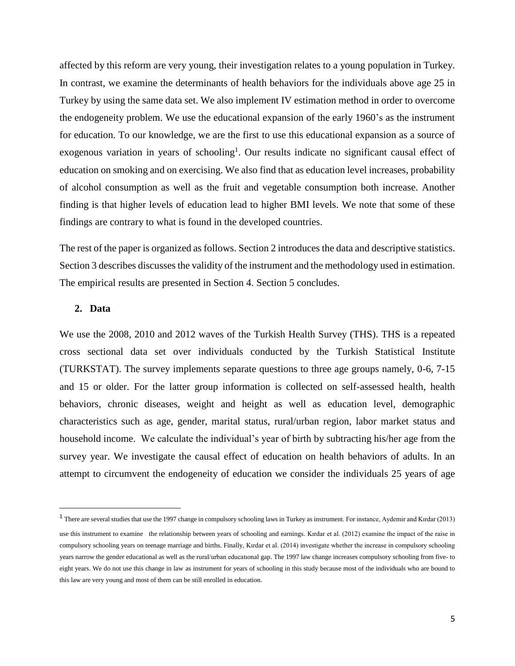affected by this reform are very young, their investigation relates to a young population in Turkey. In contrast, we examine the determinants of health behaviors for the individuals above age 25 in Turkey by using the same data set. We also implement IV estimation method in order to overcome the endogeneity problem. We use the educational expansion of the early 1960's as the instrument for education. To our knowledge, we are the first to use this educational expansion as a source of exogenous variation in years of schooling<sup>1</sup>. Our results indicate no significant causal effect of education on smoking and on exercising. We also find that as education level increases, probability of alcohol consumption as well as the fruit and vegetable consumption both increase. Another finding is that higher levels of education lead to higher BMI levels. We note that some of these findings are contrary to what is found in the developed countries.

The rest of the paper is organized as follows. Section 2 introduces the data and descriptive statistics. Section 3 describes discusses the validity of the instrument and the methodology used in estimation. The empirical results are presented in Section 4. Section 5 concludes.

# **2. Data**

 $\overline{a}$ 

We use the 2008, 2010 and 2012 waves of the Turkish Health Survey (THS). THS is a repeated cross sectional data set over individuals conducted by the Turkish Statistical Institute (TURKSTAT). The survey implements separate questions to three age groups namely, 0-6, 7-15 and 15 or older. For the latter group information is collected on self-assessed health, health behaviors, chronic diseases, weight and height as well as education level, demographic characteristics such as age, gender, marital status, rural/urban region, labor market status and household income. We calculate the individual's year of birth by subtracting his/her age from the survey year. We investigate the causal effect of education on health behaviors of adults. In an attempt to circumvent the endogeneity of education we consider the individuals 25 years of age

 $<sup>1</sup>$  There are several studies that use the 1997 change in compulsory schooling laws in Turkey as instrument. For instance, Aydemir and Kırdar (2013)</sup> use this instrument to examine the relationship between years of schooling and earnings. Kırdar et al. (2012) examine the impact of the raise in compulsory schooling years on teenage marriage and births. Finally, Kırdar et al. (2014) investigate whether the increase in compulsory schooling years narrow the gender educational as well as the rural/urban educatıonal gap. The 1997 law change increases compulsory schooling from five- to eight years. We do not use this change in law as instrument for years of schooling in this study because most of the individuals who are bound to this law are very young and most of them can be still enrolled in education.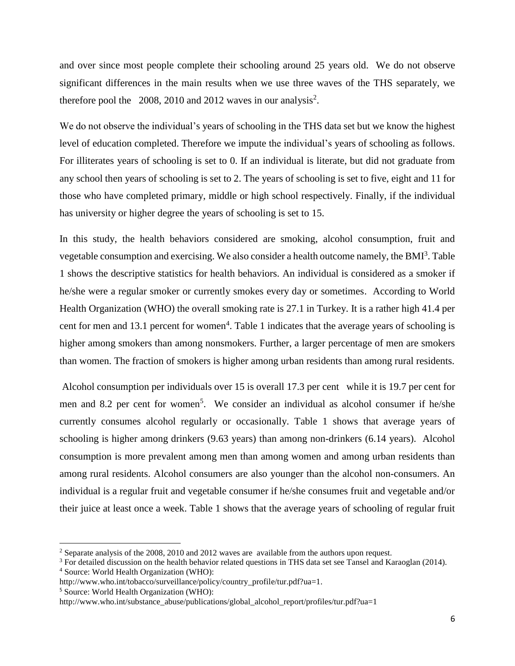and over since most people complete their schooling around 25 years old. We do not observe significant differences in the main results when we use three waves of the THS separately, we therefore pool the  $2008$ , 2010 and 2012 waves in our analysis<sup>2</sup>.

We do not observe the individual's years of schooling in the THS data set but we know the highest level of education completed. Therefore we impute the individual's years of schooling as follows. For illiterates years of schooling is set to 0. If an individual is literate, but did not graduate from any school then years of schooling is set to 2. The years of schooling is set to five, eight and 11 for those who have completed primary, middle or high school respectively. Finally, if the individual has university or higher degree the years of schooling is set to 15.

In this study, the health behaviors considered are smoking, alcohol consumption, fruit and vegetable consumption and exercising. We also consider a health outcome namely, the BMI<sup>3</sup>. Table 1 shows the descriptive statistics for health behaviors. An individual is considered as a smoker if he/she were a regular smoker or currently smokes every day or sometimes. According to World Health Organization (WHO) the overall smoking rate is 27.1 in Turkey. It is a rather high 41.4 per cent for men and 13.1 percent for women<sup>4</sup>. Table 1 indicates that the average years of schooling is higher among smokers than among nonsmokers. Further, a larger percentage of men are smokers than women. The fraction of smokers is higher among urban residents than among rural residents.

Alcohol consumption per individuals over 15 is overall 17.3 per cent while it is 19.7 per cent for men and 8.2 per cent for women<sup>5</sup>. We consider an individual as alcohol consumer if he/she currently consumes alcohol regularly or occasionally. Table 1 shows that average years of schooling is higher among drinkers (9.63 years) than among non-drinkers (6.14 years). Alcohol consumption is more prevalent among men than among women and among urban residents than among rural residents. Alcohol consumers are also younger than the alcohol non-consumers. An individual is a regular fruit and vegetable consumer if he/she consumes fruit and vegetable and/or their juice at least once a week. Table 1 shows that the average years of schooling of regular fruit

 $\overline{a}$ 

<sup>&</sup>lt;sup>2</sup> Separate analysis of the 2008, 2010 and 2012 waves are available from the authors upon request.

<sup>&</sup>lt;sup>3</sup> For detailed discussion on the health behavior related questions in THS data set see Tansel and Karaoglan (2014). <sup>4</sup> Source: World Health Organization (WHO):

http://www.who.int/tobacco/surveillance/policy/country\_profile/tur.pdf?ua=1.

<sup>5</sup> Source: World Health Organization (WHO):

http://www.who.int/substance\_abuse/publications/global\_alcohol\_report/profiles/tur.pdf?ua=1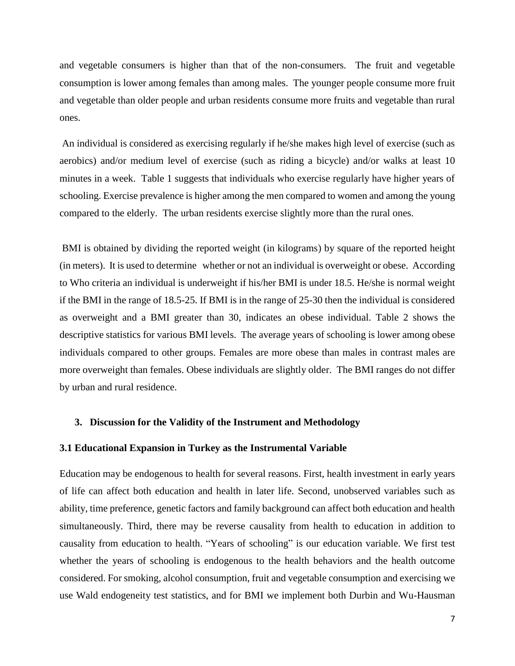and vegetable consumers is higher than that of the non-consumers. The fruit and vegetable consumption is lower among females than among males. The younger people consume more fruit and vegetable than older people and urban residents consume more fruits and vegetable than rural ones.

An individual is considered as exercising regularly if he/she makes high level of exercise (such as aerobics) and/or medium level of exercise (such as riding a bicycle) and/or walks at least 10 minutes in a week. Table 1 suggests that individuals who exercise regularly have higher years of schooling. Exercise prevalence is higher among the men compared to women and among the young compared to the elderly. The urban residents exercise slightly more than the rural ones.

BMI is obtained by dividing the reported weight (in kilograms) by square of the reported height (in meters). It is used to determine whether or not an individual is overweight or obese. According to Who criteria an individual is underweight if his/her BMI is under 18.5. He/she is normal weight if the BMI in the range of 18.5-25. If BMI is in the range of 25-30 then the individual is considered as overweight and a BMI greater than 30, indicates an obese individual. Table 2 shows the descriptive statistics for various BMI levels. The average years of schooling is lower among obese individuals compared to other groups. Females are more obese than males in contrast males are more overweight than females. Obese individuals are slightly older. The BMI ranges do not differ by urban and rural residence.

# **3. Discussion for the Validity of the Instrument and Methodology**

### **3.1 Educational Expansion in Turkey as the Instrumental Variable**

Education may be endogenous to health for several reasons. First, health investment in early years of life can affect both education and health in later life. Second, unobserved variables such as ability, time preference, genetic factors and family background can affect both education and health simultaneously. Third, there may be reverse causality from health to education in addition to causality from education to health. "Years of schooling" is our education variable. We first test whether the years of schooling is endogenous to the health behaviors and the health outcome considered. For smoking, alcohol consumption, fruit and vegetable consumption and exercising we use Wald endogeneity test statistics, and for BMI we implement both Durbin and Wu-Hausman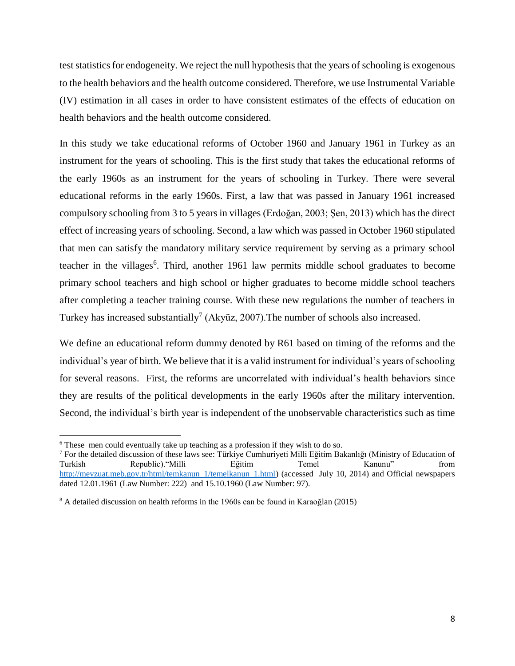test statistics for endogeneity. We reject the null hypothesis that the years of schooling is exogenous to the health behaviors and the health outcome considered. Therefore, we use Instrumental Variable (IV) estimation in all cases in order to have consistent estimates of the effects of education on health behaviors and the health outcome considered.

In this study we take educational reforms of October 1960 and January 1961 in Turkey as an instrument for the years of schooling. This is the first study that takes the educational reforms of the early 1960s as an instrument for the years of schooling in Turkey. There were several educational reforms in the early 1960s. First, a law that was passed in January 1961 increased compulsory schooling from 3 to 5 years in villages (Erdoğan, 2003; Şen, 2013) which has the direct effect of increasing years of schooling. Second, a law which was passed in October 1960 stipulated that men can satisfy the mandatory military service requirement by serving as a primary school teacher in the villages<sup>6</sup>. Third, another 1961 law permits middle school graduates to become primary school teachers and high school or higher graduates to become middle school teachers after completing a teacher training course. With these new regulations the number of teachers in Turkey has increased substantially<sup>7</sup> (Akyüz, 2007). The number of schools also increased.

We define an educational reform dummy denoted by R61 based on timing of the reforms and the individual's year of birth. We believe that it is a valid instrument for individual's years of schooling for several reasons. First, the reforms are uncorrelated with individual's health behaviors since they are results of the political developments in the early 1960s after the military intervention. Second, the individual's birth year is independent of the unobservable characteristics such as time

 $\overline{a}$ 

<sup>6</sup> These men could eventually take up teaching as a profession if they wish to do so.

<sup>7</sup> For the detailed discussion of these laws see: Türkiye Cumhuriyeti Milli Eğitim Bakanlığı (Ministry of Education of Turkish Republic)."Milli Eğitim Temel Kanunu" from [http://mevzuat.meb.gov.tr/html/temkanun\\_1/temelkanun\\_1.html\)](http://mevzuat.meb.gov.tr/html/temkanun_1/temelkanun_1.html) (accessed July 10, 2014) and Official newspapers dated 12.01.1961 (Law Number: 222) and 15.10.1960 (Law Number: 97).

<sup>&</sup>lt;sup>8</sup> A detailed discussion on health reforms in the 1960s can be found in Karaoğlan (2015)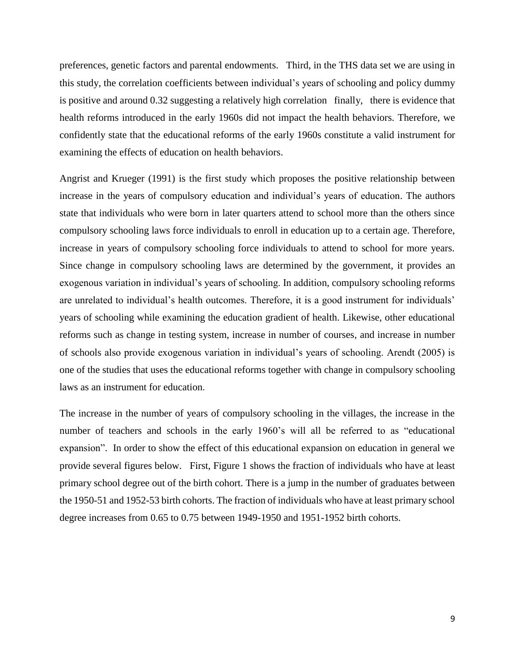preferences, genetic factors and parental endowments. Third, in the THS data set we are using in this study, the correlation coefficients between individual's years of schooling and policy dummy is positive and around 0.32 suggesting a relatively high correlation finally, there is evidence that health reforms introduced in the early 1960s did not impact the health behaviors. Therefore, we confidently state that the educational reforms of the early 1960s constitute a valid instrument for examining the effects of education on health behaviors.

Angrist and Krueger (1991) is the first study which proposes the positive relationship between increase in the years of compulsory education and individual's years of education. The authors state that individuals who were born in later quarters attend to school more than the others since compulsory schooling laws force individuals to enroll in education up to a certain age. Therefore, increase in years of compulsory schooling force individuals to attend to school for more years. Since change in compulsory schooling laws are determined by the government, it provides an exogenous variation in individual's years of schooling. In addition, compulsory schooling reforms are unrelated to individual's health outcomes. Therefore, it is a good instrument for individuals' years of schooling while examining the education gradient of health. Likewise, other educational reforms such as change in testing system, increase in number of courses, and increase in number of schools also provide exogenous variation in individual's years of schooling. Arendt (2005) is one of the studies that uses the educational reforms together with change in compulsory schooling laws as an instrument for education.

The increase in the number of years of compulsory schooling in the villages, the increase in the number of teachers and schools in the early 1960's will all be referred to as "educational expansion". In order to show the effect of this educational expansion on education in general we provide several figures below. First, Figure 1 shows the fraction of individuals who have at least primary school degree out of the birth cohort. There is a jump in the number of graduates between the 1950-51 and 1952-53 birth cohorts. The fraction of individuals who have at least primary school degree increases from 0.65 to 0.75 between 1949-1950 and 1951-1952 birth cohorts.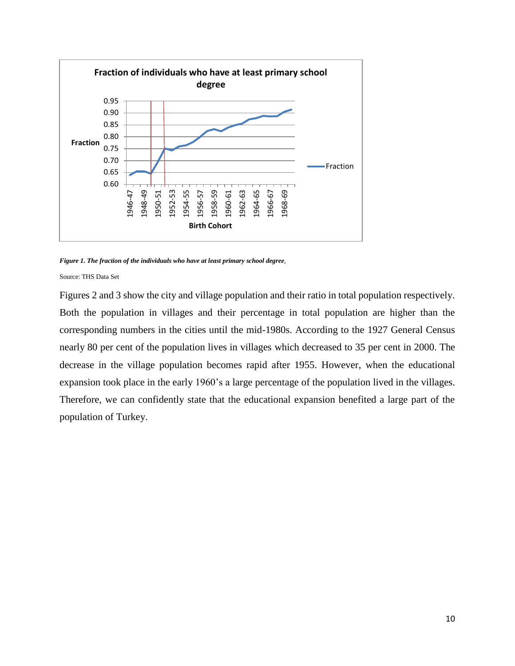

*Figure 1. The fraction of the individuals who have at least primary school degree*,

Source: THS Data Set

Figures 2 and 3 show the city and village population and their ratio in total population respectively. Both the population in villages and their percentage in total population are higher than the corresponding numbers in the cities until the mid-1980s. According to the 1927 General Census nearly 80 per cent of the population lives in villages which decreased to 35 per cent in 2000. The decrease in the village population becomes rapid after 1955. However, when the educational expansion took place in the early 1960's a large percentage of the population lived in the villages. Therefore, we can confidently state that the educational expansion benefited a large part of the population of Turkey.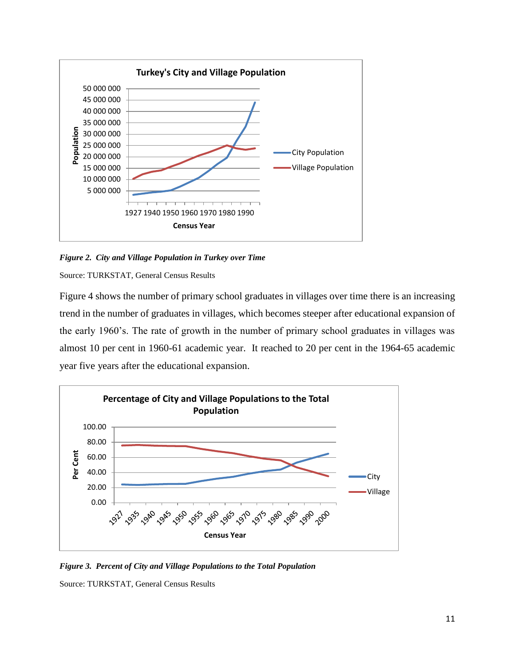

*Figure 2. City and Village Population in Turkey over Time*

Source: TURKSTAT, General Census Results

Figure 4 shows the number of primary school graduates in villages over time there is an increasing trend in the number of graduates in villages, which becomes steeper after educational expansion of the early 1960's. The rate of growth in the number of primary school graduates in villages was almost 10 per cent in 1960-61 academic year. It reached to 20 per cent in the 1964-65 academic year five years after the educational expansion.



*Figure 3. Percent of City and Village Populations to the Total Population*

Source: TURKSTAT, General Census Results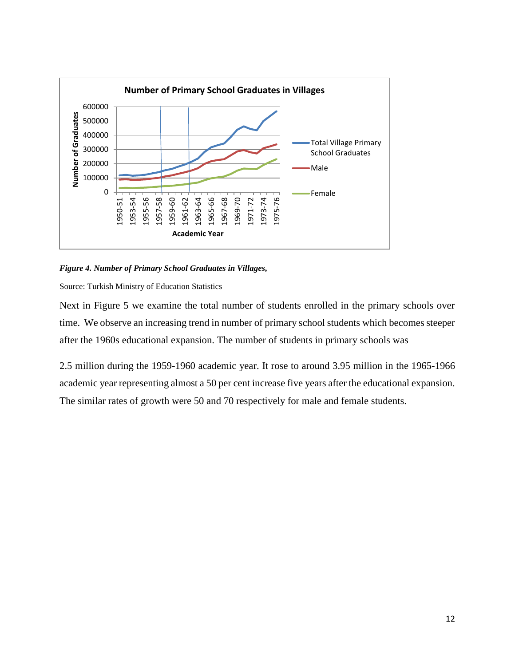

# *Figure 4. Number of Primary School Graduates in Villages,*

Source: Turkish Ministry of Education Statistics

Next in Figure 5 we examine the total number of students enrolled in the primary schools over time. We observe an increasing trend in number of primary school students which becomes steeper after the 1960s educational expansion. The number of students in primary schools was

2.5 million during the 1959-1960 academic year. It rose to around 3.95 million in the 1965-1966 academic year representing almost a 50 per cent increase five years after the educational expansion. The similar rates of growth were 50 and 70 respectively for male and female students.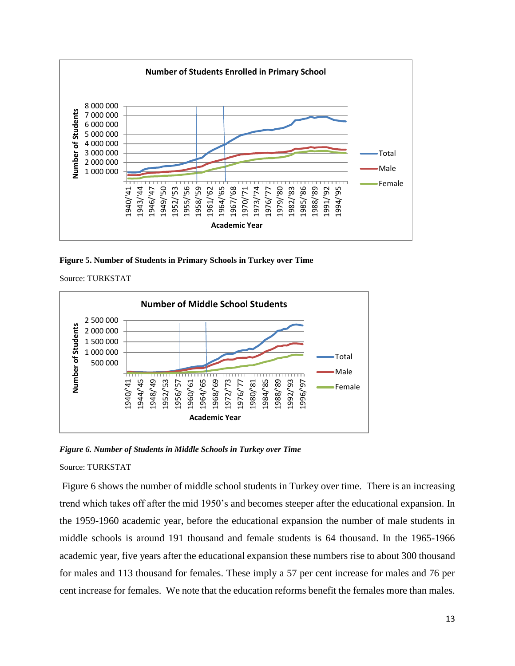

**Figure 5. Number of Students in Primary Schools in Turkey over Time**



*Figure 6. Number of Students in Middle Schools in Turkey over Time*

# Source: TURKSTAT

Figure 6 shows the number of middle school students in Turkey over time. There is an increasing trend which takes off after the mid 1950's and becomes steeper after the educational expansion. In the 1959-1960 academic year, before the educational expansion the number of male students in middle schools is around 191 thousand and female students is 64 thousand. In the 1965-1966 academic year, five years after the educational expansion these numbers rise to about 300 thousand for males and 113 thousand for females. These imply a 57 per cent increase for males and 76 per cent increase for females. We note that the education reforms benefit the females more than males.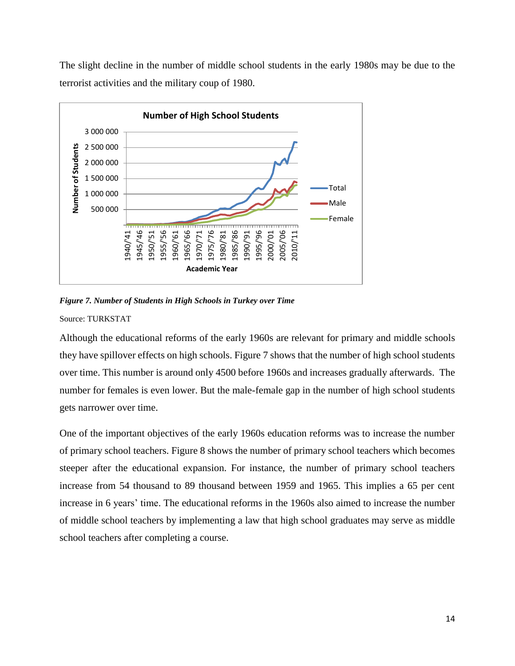The slight decline in the number of middle school students in the early 1980s may be due to the terrorist activities and the military coup of 1980.



*Figure 7. Number of Students in High Schools in Turkey over Time* Source: TURKSTAT

Although the educational reforms of the early 1960s are relevant for primary and middle schools they have spillover effects on high schools. Figure 7 shows that the number of high school students over time. This number is around only 4500 before 1960s and increases gradually afterwards. The number for females is even lower. But the male-female gap in the number of high school students gets narrower over time.

One of the important objectives of the early 1960s education reforms was to increase the number of primary school teachers. Figure 8 shows the number of primary school teachers which becomes steeper after the educational expansion. For instance, the number of primary school teachers increase from 54 thousand to 89 thousand between 1959 and 1965. This implies a 65 per cent increase in 6 years' time. The educational reforms in the 1960s also aimed to increase the number of middle school teachers by implementing a law that high school graduates may serve as middle school teachers after completing a course.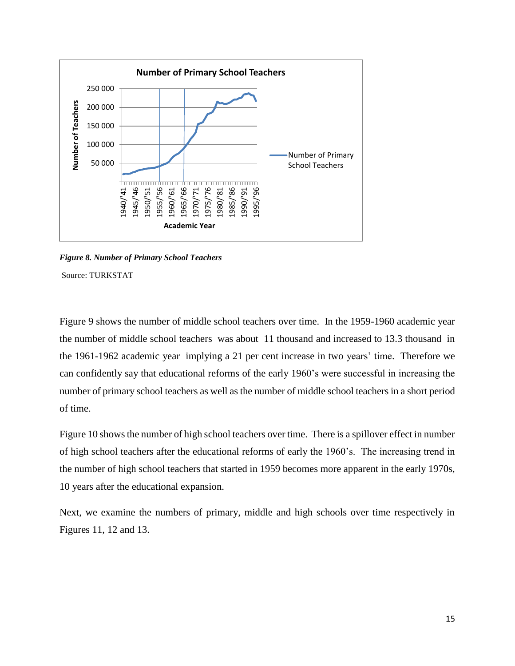

*Figure 8. Number of Primary School Teachers*

Figure 9 shows the number of middle school teachers over time. In the 1959-1960 academic year the number of middle school teachers was about 11 thousand and increased to 13.3 thousand in the 1961-1962 academic year implying a 21 per cent increase in two years' time. Therefore we can confidently say that educational reforms of the early 1960's were successful in increasing the number of primary school teachers as well as the number of middle school teachers in a short period of time.

Figure 10 shows the number of high school teachers over time. There is a spillover effect in number of high school teachers after the educational reforms of early the 1960's. The increasing trend in the number of high school teachers that started in 1959 becomes more apparent in the early 1970s, 10 years after the educational expansion.

Next, we examine the numbers of primary, middle and high schools over time respectively in Figures 11, 12 and 13.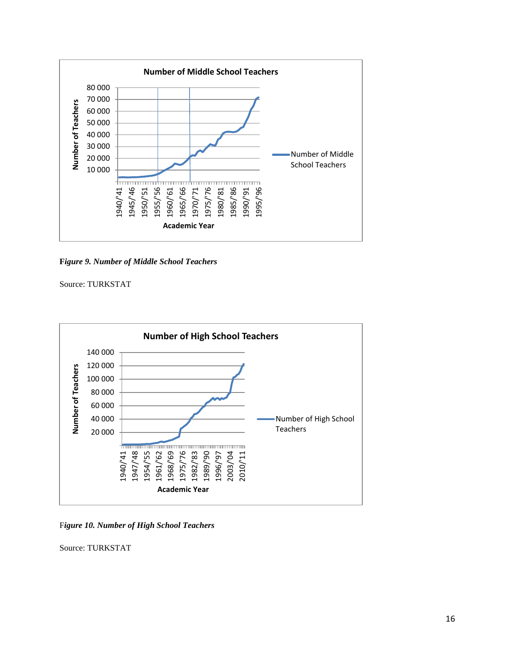

**F***igure 9. Number of Middle School Teachers*



F*igure 10. Number of High School Teachers*

Source: TURKSTAT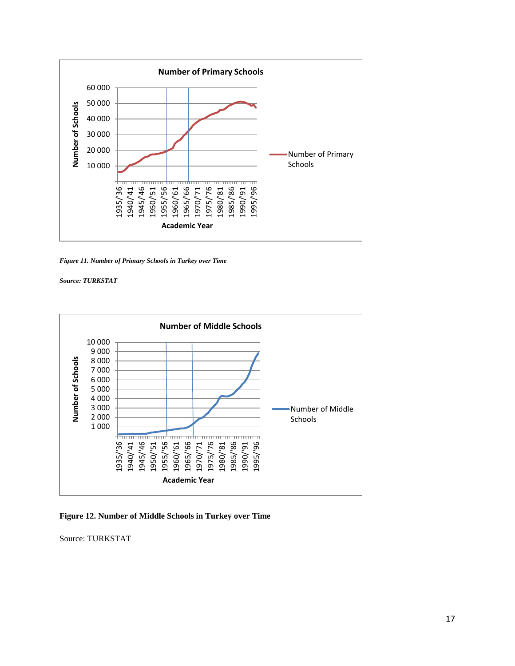

*Figure 11. Number of Primary Schools in Turkey over Time*



**Figure 12. Number of Middle Schools in Turkey over Time**

Source: TURKSTAT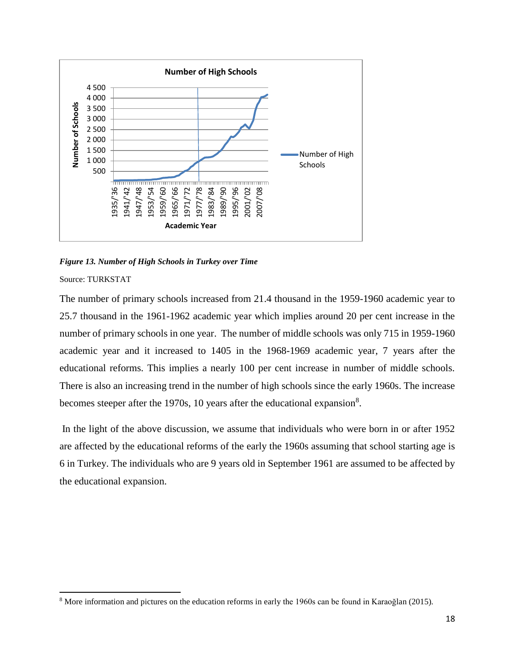

*Figure 13. Number of High Schools in Turkey over Time*

The number of primary schools increased from 21.4 thousand in the 1959-1960 academic year to 25.7 thousand in the 1961-1962 academic year which implies around 20 per cent increase in the number of primary schools in one year. The number of middle schools was only 715 in 1959-1960 academic year and it increased to 1405 in the 1968-1969 academic year, 7 years after the educational reforms. This implies a nearly 100 per cent increase in number of middle schools. There is also an increasing trend in the number of high schools since the early 1960s. The increase becomes steeper after the 1970s, 10 years after the educational expansion<sup>8</sup>.

In the light of the above discussion, we assume that individuals who were born in or after 1952 are affected by the educational reforms of the early the 1960s assuming that school starting age is 6 in Turkey. The individuals who are 9 years old in September 1961 are assumed to be affected by the educational expansion.

 $\overline{a}$ <sup>8</sup> More information and pictures on the education reforms in early the 1960s can be found in Karaoğlan (2015).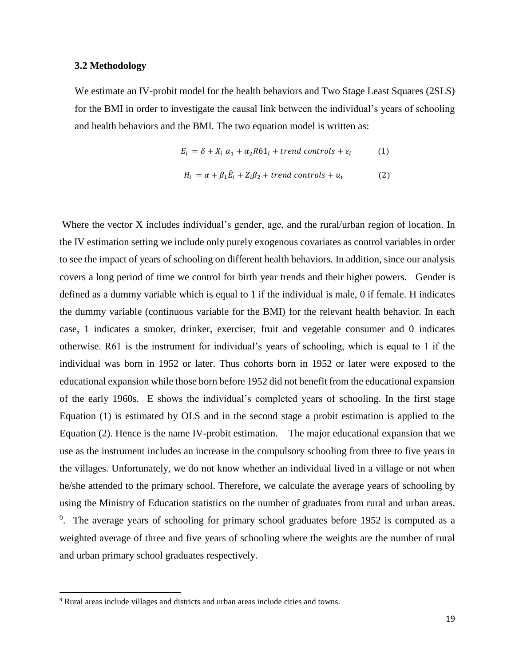#### **3.2 Methodology**

We estimate an IV-probit model for the health behaviors and Two Stage Least Squares (2SLS) for the BMI in order to investigate the causal link between the individual's years of schooling and health behaviors and the BMI. The two equation model is written as:

$$
E_i = \delta + X_i \alpha_1 + \alpha_2 R 61_i + trend \text{ controls} + \varepsilon_i \tag{1}
$$

$$
H_i = \alpha + \beta_1 \hat{E}_i + Z_i \beta_2 + trend \text{ controls} + u_i \tag{2}
$$

Where the vector X includes individual's gender, age, and the rural/urban region of location. In the IV estimation setting we include only purely exogenous covariates as control variables in order to see the impact of years of schooling on different health behaviors. In addition, since our analysis covers a long period of time we control for birth year trends and their higher powers. Gender is defined as a dummy variable which is equal to 1 if the individual is male, 0 if female. H indicates the dummy variable (continuous variable for the BMI) for the relevant health behavior. In each case, 1 indicates a smoker, drinker, exerciser, fruit and vegetable consumer and 0 indicates otherwise. R61 is the instrument for individual's years of schooling, which is equal to 1 if the individual was born in 1952 or later. Thus cohorts born in 1952 or later were exposed to the educational expansion while those born before 1952 did not benefit from the educational expansion of the early 1960s. E shows the individual's completed years of schooling. In the first stage Equation (1) is estimated by OLS and in the second stage a probit estimation is applied to the Equation (2). Hence is the name IV-probit estimation. The major educational expansion that we use as the instrument includes an increase in the compulsory schooling from three to five years in the villages. Unfortunately, we do not know whether an individual lived in a village or not when he/she attended to the primary school. Therefore, we calculate the average years of schooling by using the Ministry of Education statistics on the number of graduates from rural and urban areas. <sup>9</sup>. The average years of schooling for primary school graduates before 1952 is computed as a weighted average of three and five years of schooling where the weights are the number of rural and urban primary school graduates respectively.

 $\overline{a}$ 

<sup>&</sup>lt;sup>9</sup> Rural areas include villages and districts and urban areas include cities and towns.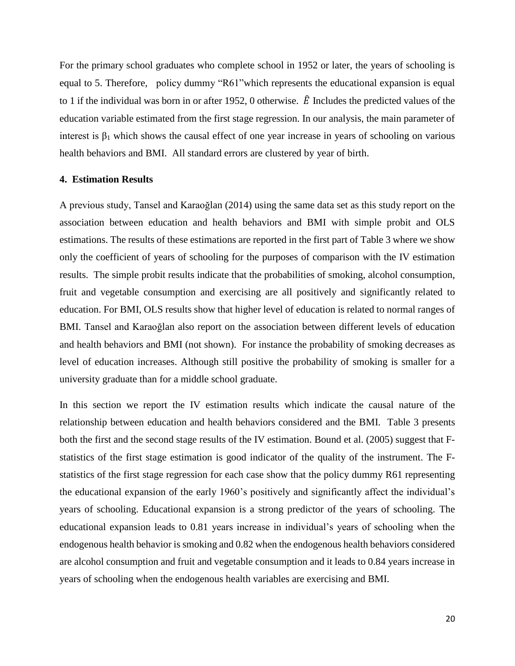For the primary school graduates who complete school in 1952 or later, the years of schooling is equal to 5. Therefore, policy dummy "R61"which represents the educational expansion is equal to 1 if the individual was born in or after 1952, 0 otherwise.  $\hat{E}$  Includes the predicted values of the education variable estimated from the first stage regression. In our analysis, the main parameter of interest is  $\beta_1$  which shows the causal effect of one year increase in years of schooling on various health behaviors and BMI. All standard errors are clustered by year of birth.

# **4. Estimation Results**

A previous study, Tansel and Karaoğlan (2014) using the same data set as this study report on the association between education and health behaviors and BMI with simple probit and OLS estimations. The results of these estimations are reported in the first part of Table 3 where we show only the coefficient of years of schooling for the purposes of comparison with the IV estimation results. The simple probit results indicate that the probabilities of smoking, alcohol consumption, fruit and vegetable consumption and exercising are all positively and significantly related to education. For BMI, OLS results show that higher level of education is related to normal ranges of BMI. Tansel and Karaoğlan also report on the association between different levels of education and health behaviors and BMI (not shown). For instance the probability of smoking decreases as level of education increases. Although still positive the probability of smoking is smaller for a university graduate than for a middle school graduate.

In this section we report the IV estimation results which indicate the causal nature of the relationship between education and health behaviors considered and the BMI. Table 3 presents both the first and the second stage results of the IV estimation. Bound et al. (2005) suggest that Fstatistics of the first stage estimation is good indicator of the quality of the instrument. The Fstatistics of the first stage regression for each case show that the policy dummy R61 representing the educational expansion of the early 1960's positively and significantly affect the individual's years of schooling. Educational expansion is a strong predictor of the years of schooling. The educational expansion leads to 0.81 years increase in individual's years of schooling when the endogenous health behavior is smoking and 0.82 when the endogenous health behaviors considered are alcohol consumption and fruit and vegetable consumption and it leads to 0.84 years increase in years of schooling when the endogenous health variables are exercising and BMI.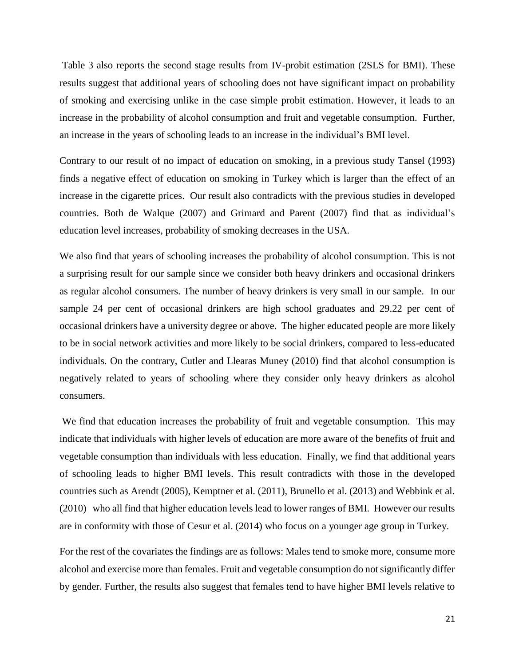Table 3 also reports the second stage results from IV-probit estimation (2SLS for BMI). These results suggest that additional years of schooling does not have significant impact on probability of smoking and exercising unlike in the case simple probit estimation. However, it leads to an increase in the probability of alcohol consumption and fruit and vegetable consumption. Further, an increase in the years of schooling leads to an increase in the individual's BMI level.

Contrary to our result of no impact of education on smoking, in a previous study Tansel (1993) finds a negative effect of education on smoking in Turkey which is larger than the effect of an increase in the cigarette prices. Our result also contradicts with the previous studies in developed countries. Both de Walque (2007) and Grimard and Parent (2007) find that as individual's education level increases, probability of smoking decreases in the USA.

We also find that years of schooling increases the probability of alcohol consumption. This is not a surprising result for our sample since we consider both heavy drinkers and occasional drinkers as regular alcohol consumers. The number of heavy drinkers is very small in our sample. In our sample 24 per cent of occasional drinkers are high school graduates and 29.22 per cent of occasional drinkers have a university degree or above. The higher educated people are more likely to be in social network activities and more likely to be social drinkers, compared to less-educated individuals. On the contrary, Cutler and Llearas Muney (2010) find that alcohol consumption is negatively related to years of schooling where they consider only heavy drinkers as alcohol consumers.

We find that education increases the probability of fruit and vegetable consumption. This may indicate that individuals with higher levels of education are more aware of the benefits of fruit and vegetable consumption than individuals with less education. Finally, we find that additional years of schooling leads to higher BMI levels. This result contradicts with those in the developed countries such as Arendt (2005), Kemptner et al. (2011), Brunello et al. (2013) and Webbink et al. (2010) who all find that higher education levels lead to lower ranges of BMI. However our results are in conformity with those of Cesur et al. (2014) who focus on a younger age group in Turkey.

For the rest of the covariates the findings are as follows: Males tend to smoke more, consume more alcohol and exercise more than females. Fruit and vegetable consumption do not significantly differ by gender. Further, the results also suggest that females tend to have higher BMI levels relative to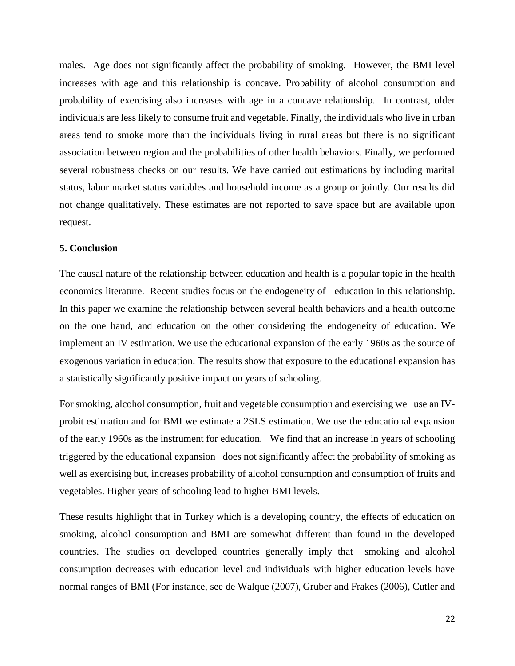males. Age does not significantly affect the probability of smoking. However, the BMI level increases with age and this relationship is concave. Probability of alcohol consumption and probability of exercising also increases with age in a concave relationship. In contrast, older individuals are less likely to consume fruit and vegetable. Finally, the individuals who live in urban areas tend to smoke more than the individuals living in rural areas but there is no significant association between region and the probabilities of other health behaviors. Finally, we performed several robustness checks on our results. We have carried out estimations by including marital status, labor market status variables and household income as a group or jointly. Our results did not change qualitatively. These estimates are not reported to save space but are available upon request.

#### **5. Conclusion**

The causal nature of the relationship between education and health is a popular topic in the health economics literature. Recent studies focus on the endogeneity of education in this relationship. In this paper we examine the relationship between several health behaviors and a health outcome on the one hand, and education on the other considering the endogeneity of education. We implement an IV estimation. We use the educational expansion of the early 1960s as the source of exogenous variation in education. The results show that exposure to the educational expansion has a statistically significantly positive impact on years of schooling.

For smoking, alcohol consumption, fruit and vegetable consumption and exercising we use an IVprobit estimation and for BMI we estimate a 2SLS estimation. We use the educational expansion of the early 1960s as the instrument for education. We find that an increase in years of schooling triggered by the educational expansion does not significantly affect the probability of smoking as well as exercising but, increases probability of alcohol consumption and consumption of fruits and vegetables. Higher years of schooling lead to higher BMI levels.

These results highlight that in Turkey which is a developing country, the effects of education on smoking, alcohol consumption and BMI are somewhat different than found in the developed countries. The studies on developed countries generally imply that smoking and alcohol consumption decreases with education level and individuals with higher education levels have normal ranges of BMI (For instance, see de Walque (2007), Gruber and Frakes (2006), Cutler and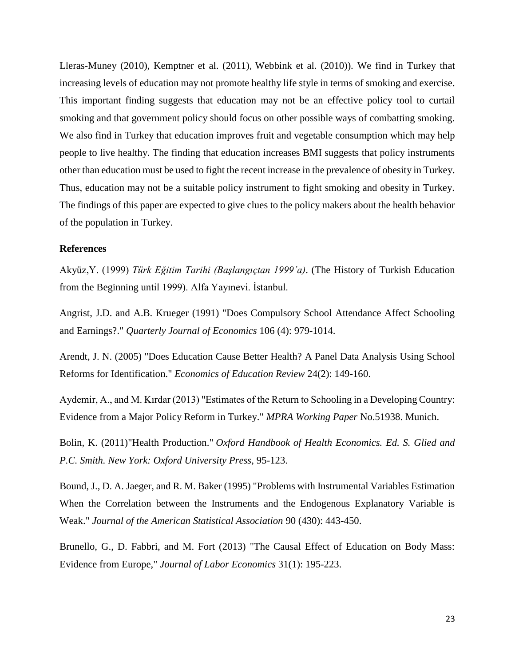Lleras-Muney (2010), Kemptner et al. (2011), Webbink et al. (2010)). We find in Turkey that increasing levels of education may not promote healthy life style in terms of smoking and exercise. This important finding suggests that education may not be an effective policy tool to curtail smoking and that government policy should focus on other possible ways of combatting smoking. We also find in Turkey that education improves fruit and vegetable consumption which may help people to live healthy. The finding that education increases BMI suggests that policy instruments other than education must be used to fight the recent increase in the prevalence of obesity in Turkey. Thus, education may not be a suitable policy instrument to fight smoking and obesity in Turkey. The findings of this paper are expected to give clues to the policy makers about the health behavior of the population in Turkey.

#### **References**

Akyüz,Y. (1999) *Türk Eğitim Tarihi (Başlangıçtan 1999'a)*. (The History of Turkish Education from the Beginning until 1999). Alfa Yayınevi. İstanbul.

Angrist, J.D. and A.B. Krueger (1991) "Does Compulsory School Attendance Affect Schooling and Earnings?." *Quarterly Journal of Economics* 106 (4): 979-1014.

Arendt, J. N. (2005) "Does Education Cause Better Health? A Panel Data Analysis Using School Reforms for Identification." *Economics of Education Review* 24(2): 149-160.

Aydemir, A., and M. Kırdar (2013) "Estimates of the Return to Schooling in a Developing Country: Evidence from a Major Policy Reform in Turkey." *MPRA Working Paper* No.51938. Munich.

Bolin, K. (2011)"Health Production." *Oxford Handbook of Health Economics. Ed. S. Glied and P.C. Smith. New York: Oxford University Press*, 95-123.

Bound, J., D. A. Jaeger, and R. M. Baker (1995) "Problems with Instrumental Variables Estimation When the Correlation between the Instruments and the Endogenous Explanatory Variable is Weak." *Journal of the American Statistical Association* 90 (430): 443-450.

Brunello, G., D. Fabbri, and M. Fort (2013) "The Causal Effect of Education on Body Mass: Evidence from Europe," *Journal of Labor Economics* 31(1): 195-223.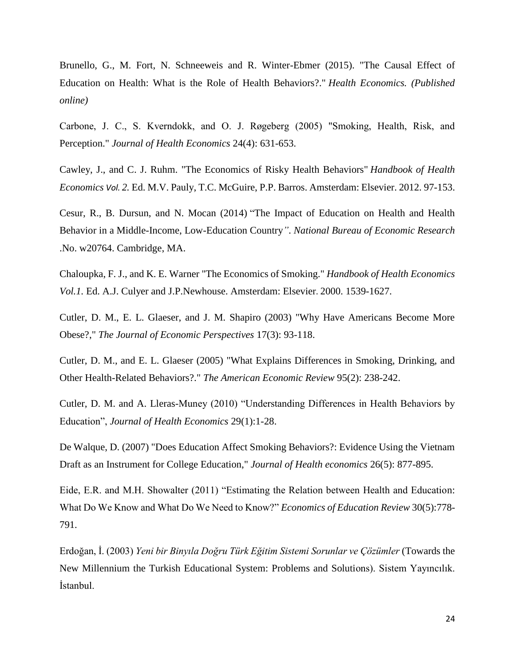Brunello, G., M. Fort, N. Schneeweis and R. Winter-Ebmer (2015). "The Causal Effect of Education on Health: What is the Role of Health Behaviors?." *Health Economics. (Published online)*

Carbone, J. C., S. Kverndokk, and O. J. Røgeberg (2005) "Smoking, Health, Risk, and Perception." *Journal of Health Economics* 24(4): 631-653.

Cawley, J., and C. J. Ruhm. "The Economics of Risky Health Behaviors" *Handbook of Health Economics Vol. 2.* Ed. M.V. Pauly, T.C. McGuire, P.P. Barros. Amsterdam: Elsevier. 2012. 97-153.

Cesur, R., B. Dursun, and N. Mocan (2014) "The Impact of Education on Health and Health Behavior in a Middle-Income, Low-Education Country*"*. *National Bureau of Economic Research* .No. w20764. Cambridge, MA.

Chaloupka, F. J., and K. E. Warner "The Economics of Smoking." *Handbook of Health Economics Vol.1.* Ed. A.J. Culyer and J.P.Newhouse. Amsterdam: Elsevier. 2000. 1539-1627.

Cutler, D. M., E. L. Glaeser, and J. M. Shapiro (2003) "Why Have Americans Become More Obese?," *The Journal of Economic Perspectives* 17(3): 93-118.

Cutler, D. M., and E. L. Glaeser (2005) "What Explains Differences in Smoking, Drinking, and Other Health-Related Behaviors?." *The American Economic Review* 95(2): 238-242.

Cutler, D. M. and A. Lleras-Muney (2010) "Understanding Differences in Health Behaviors by Education", *Journal of Health Economics* 29(1):1-28.

De Walque, D. (2007) "Does Education Affect Smoking Behaviors?: Evidence Using the Vietnam Draft as an Instrument for College Education," *Journal of Health economics* 26(5): 877-895.

Eide, E.R. and M.H. Showalter (2011) "Estimating the Relation between Health and Education: What Do We Know and What Do We Need to Know?" *Economics of Education Review* 30(5):778- 791.

Erdoğan, İ. (2003) *Yeni bir Binyıla Doğru Türk Eğitim Sistemi Sorunlar ve Çözümler* (Towards the New Millennium the Turkish Educational System: Problems and Solutions). Sistem Yayıncılık. İstanbul.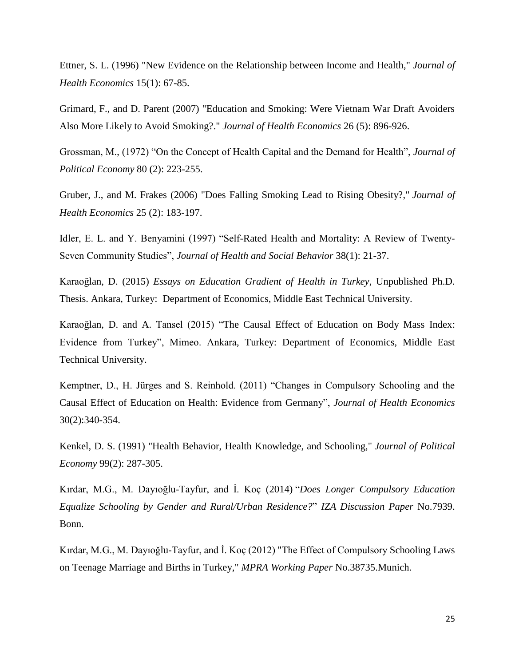Ettner, S. L. (1996) "New Evidence on the Relationship between Income and Health," *Journal of Health Economics* 15(1): 67-85.

Grimard, F., and D. Parent (2007) "Education and Smoking: Were Vietnam War Draft Avoiders Also More Likely to Avoid Smoking?." *Journal of Health Economics* 26 (5): 896-926.

Grossman, M., (1972) "On the Concept of Health Capital and the Demand for Health", *Journal of Political Economy* 80 (2): 223-255.

Gruber, J., and M. Frakes (2006) "Does Falling Smoking Lead to Rising Obesity?," *Journal of Health Economics* 25 (2): 183-197.

Idler, E. L. and Y. Benyamini (1997) "Self-Rated Health and Mortality: A Review of Twenty-Seven Community Studies", *Journal of Health and Social Behavior* 38(1): 21-37.

Karaoğlan, D. (2015) *Essays on Education Gradient of Health in Turkey*, Unpublished Ph.D. Thesis. Ankara, Turkey: Department of Economics, Middle East Technical University.

Karaoğlan, D. and A. Tansel (2015) "The Causal Effect of Education on Body Mass Index: Evidence from Turkey", Mimeo. Ankara, Turkey: Department of Economics, Middle East Technical University.

Kemptner, D., H. Jürges and S. Reinhold. (2011) "Changes in Compulsory Schooling and the Causal Effect of Education on Health: Evidence from Germany", *Journal of Health Economics* 30(2):340-354.

Kenkel, D. S. (1991) "Health Behavior, Health Knowledge, and Schooling," *Journal of Political Economy* 99(2): 287-305.

Kırdar, M.G., M. Dayıoğlu-Tayfur, and İ. Koç (2014) "*Does Longer Compulsory Education Equalize Schooling by Gender and Rural/Urban Residence?*" *IZA Discussion Paper* No.7939. Bonn.

Kırdar, M.G., M. Dayıoğlu-Tayfur, and İ. Koç (2012) "The Effect of Compulsory Schooling Laws on Teenage Marriage and Births in Turkey," *MPRA Working Paper* No.38735.Munich.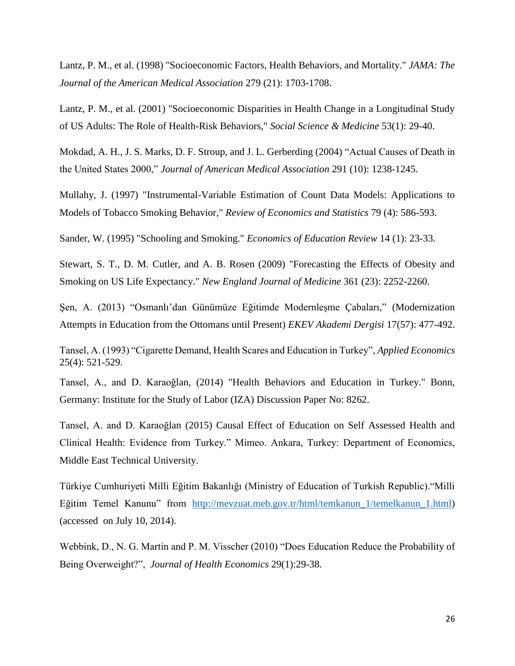Lantz, P. M., et al. (1998) "Socioeconomic Factors, Health Behaviors, and Mortality." *JAMA: The Journal of the American Medical Association* 279 (21): 1703-1708.

Lantz, P. M., et al. (2001) "Socioeconomic Disparities in Health Change in a Longitudinal Study of US Adults: The Role of Health-Risk Behaviors," *Social Science & Medicine* 53(1): 29-40.

Mokdad, A. H., J. S. Marks, D. F. Stroup, and J. L. Gerberding (2004) "Actual Causes of Death in the United States 2000," *Journal of American Medical Association* 291 (10): 1238-1245.

Mullahy, J. (1997) "Instrumental-Variable Estimation of Count Data Models: Applications to Models of Tobacco Smoking Behavior," *Review of Economics and Statistics* 79 (4): 586-593.

Sander, W. (1995) "Schooling and Smoking." *Economics of Education Review* 14 (1): 23-33.

Stewart, S. T., D. M. Cutler, and A. B. Rosen (2009) "Forecasting the Effects of Obesity and Smoking on US Life Expectancy." *New England Journal of Medicine* 361 (23): 2252-2260.

Şen, A. (2013) "Osmanlı'dan Günümüze Eğitimde Modernleşme Çabaları," (Modernization Attempts in Education from the Ottomans until Present) *EKEV Akademi Dergisi* 17(57): 477-492.

Tansel, A. (1993) "Cigarette Demand, Health Scares and Education in Turkey", *Applied Economics* 25(4): 521-529.

Tansel, A., and D. Karaoğlan, (2014) "Health Behaviors and Education in Turkey." Bonn, Germany: Institute for the Study of Labor (IZA) Discussion Paper No: 8262.

Tansel, A. and D. Karaoğlan (2015) Causal Effect of Education on Self Assessed Health and Clinical Health: Evidence from Turkey." Mimeo. Ankara, Turkey: Department of Economics, Middle East Technical University.

Türkiye Cumhuriyeti Milli Eğitim Bakanlığı (Ministry of Education of Turkish Republic)."Milli Eğitim Temel Kanunu" from [http://mevzuat.meb.gov.tr/html/temkanun\\_1/temelkanun\\_1.html\)](http://mevzuat.meb.gov.tr/html/temkanun_1/temelkanun_1.html) (accessed on July 10, 2014).

Webbink, D., N. G. Martin and P. M. Visscher (2010) "Does Education Reduce the Probability of Being Overweight?", *Journal of Health Economics* 29(1):29-38.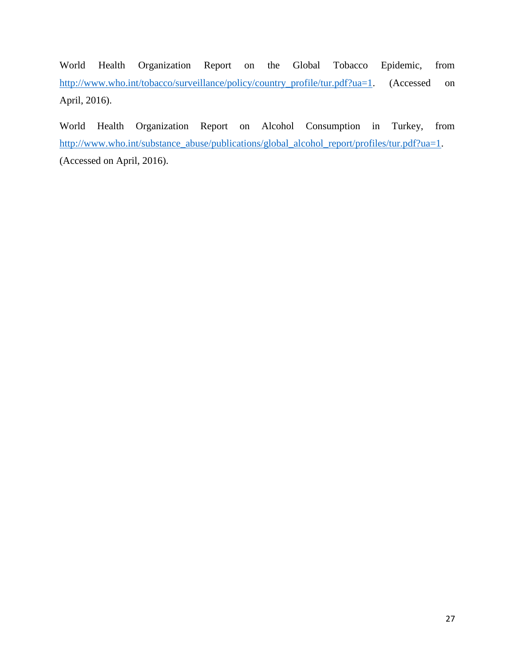World Health Organization Report on the Global Tobacco Epidemic, from [http://www.who.int/tobacco/surveillance/policy/country\\_profile/tur.pdf?ua=1.](http://www.who.int/tobacco/surveillance/policy/country_profile/tur.pdf?ua=1) (Accessed on April, 2016).

World Health Organization Report on Alcohol Consumption in Turkey, from [http://www.who.int/substance\\_abuse/publications/global\\_alcohol\\_report/profiles/tur.pdf?ua=1.](http://www.who.int/substance_abuse/publications/global_alcohol_report/profiles/tur.pdf?ua=1) (Accessed on April, 2016).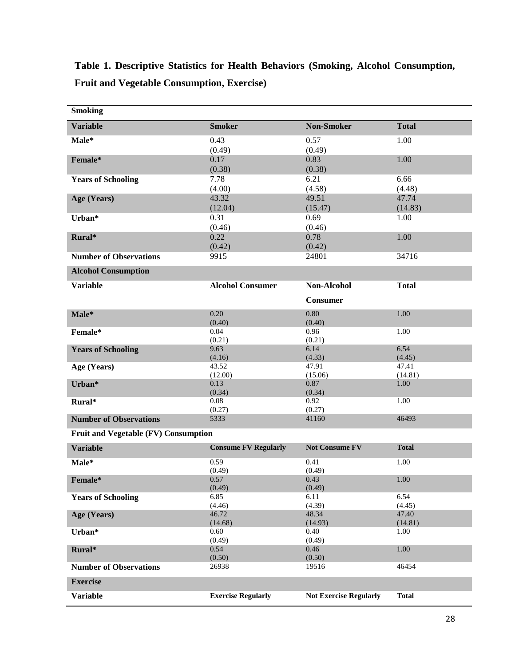**Table 1. Descriptive Statistics for Health Behaviors (Smoking, Alcohol Consumption, Fruit and Vegetable Consumption, Exercise)**

| <b>Smoking</b>                       |                             |                               |                 |  |
|--------------------------------------|-----------------------------|-------------------------------|-----------------|--|
| <b>Variable</b>                      | <b>Smoker</b>               | <b>Non-Smoker</b>             | <b>Total</b>    |  |
| Male*                                | 0.43                        | 0.57                          | 1.00            |  |
|                                      | (0.49)                      | (0.49)                        |                 |  |
| Female*                              | 0.17                        | 0.83                          | 1.00            |  |
|                                      | (0.38)                      | (0.38)                        |                 |  |
| <b>Years of Schooling</b>            | 7.78                        | 6.21                          | 6.66            |  |
|                                      | (4.00)                      | (4.58)                        | (4.48)          |  |
| Age (Years)                          | 43.32                       | 49.51                         | 47.74           |  |
|                                      | (12.04)                     | (15.47)                       | (14.83)         |  |
| Urban*                               | 0.31                        | 0.69                          | 1.00            |  |
|                                      | (0.46)                      | (0.46)                        |                 |  |
| Rural*                               | 0.22                        | 0.78                          | 1.00            |  |
|                                      | (0.42)                      | (0.42)                        |                 |  |
| <b>Number of Observations</b>        | 9915                        | 24801                         | 34716           |  |
| <b>Alcohol Consumption</b>           |                             |                               |                 |  |
| <b>Variable</b>                      | <b>Alcohol Consumer</b>     | <b>Non-Alcohol</b>            | <b>Total</b>    |  |
|                                      |                             | <b>Consumer</b>               |                 |  |
| Male*                                | 0.20                        | 0.80                          | 1.00            |  |
|                                      | (0.40)                      | (0.40)                        |                 |  |
| Female*                              | 0.04                        | 0.96                          | 1.00            |  |
|                                      | (0.21)                      | (0.21)                        |                 |  |
| <b>Years of Schooling</b>            | 9.63                        | 6.14                          | 6.54            |  |
|                                      | (4.16)<br>43.52             | (4.33)<br>47.91               | (4.45)<br>47.41 |  |
| Age (Years)                          | (12.00)                     | (15.06)                       | (14.81)         |  |
| Urban*                               | 0.13                        | 0.87                          | 1.00            |  |
|                                      | (0.34)                      | (0.34)                        |                 |  |
| Rural*                               | 0.08                        | 0.92                          | 1.00            |  |
|                                      | (0.27)                      | (0.27)                        |                 |  |
| <b>Number of Observations</b>        | 5333                        | 41160                         | 46493           |  |
| Fruit and Vegetable (FV) Consumption |                             |                               |                 |  |
| <b>Variable</b>                      | <b>Consume FV Regularly</b> | <b>Not Consume FV</b>         | <b>Total</b>    |  |
| Male*                                | 0.59                        | 0.41                          | 1.00            |  |
|                                      | (0.49)                      | (0.49)                        |                 |  |
| Female*                              | 0.57                        | 0.43                          | 1.00            |  |
|                                      | (0.49)                      | (0.49)                        |                 |  |
| <b>Years of Schooling</b>            | 6.85                        | 6.11                          | 6.54            |  |
|                                      | (4.46)                      | (4.39)                        | (4.45)          |  |
| Age (Years)                          | 46.72                       | 48.34                         | 47.40           |  |
| Urban*                               | (14.68)<br>0.60             | (14.93)<br>0.40               | (14.81)<br>1.00 |  |
|                                      | (0.49)                      | (0.49)                        |                 |  |
| Rural*                               | 0.54                        | 0.46                          | $1.00\,$        |  |
|                                      | (0.50)                      | (0.50)                        |                 |  |
| <b>Number of Observations</b>        | 26938                       | 19516                         | 46454           |  |
| <b>Exercise</b>                      |                             |                               |                 |  |
| <b>Variable</b>                      | <b>Exercise Regularly</b>   | <b>Not Exercise Regularly</b> | <b>Total</b>    |  |
|                                      |                             |                               |                 |  |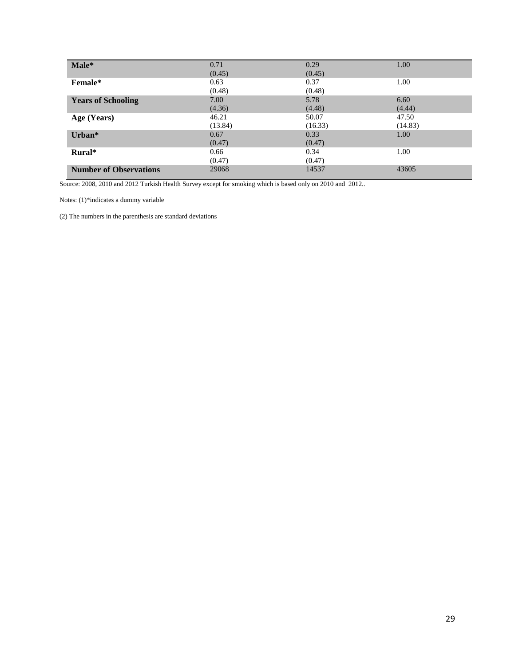| Male*                         | 0.71    | 0.29    | 1.00    |
|-------------------------------|---------|---------|---------|
|                               | (0.45)  | (0.45)  |         |
| Female*                       | 0.63    | 0.37    | 1.00    |
|                               | (0.48)  | (0.48)  |         |
| <b>Years of Schooling</b>     | 7.00    | 5.78    | 6.60    |
|                               | (4.36)  | (4.48)  | (4.44)  |
| Age (Years)                   | 46.21   | 50.07   | 47.50   |
|                               | (13.84) | (16.33) | (14.83) |
| Urban*                        | 0.67    | 0.33    | 1.00    |
|                               | (0.47)  | (0.47)  |         |
| Rural*                        | 0.66    | 0.34    | 1.00    |
|                               | (0.47)  | (0.47)  |         |
| <b>Number of Observations</b> | 29068   | 14537   | 43605   |

Source: 2008, 2010 and 2012 Turkish Health Survey except for smoking which is based only on 2010 and 2012..

Notes: (1)\*indicates a dummy variable

(2) The numbers in the parenthesis are standard deviations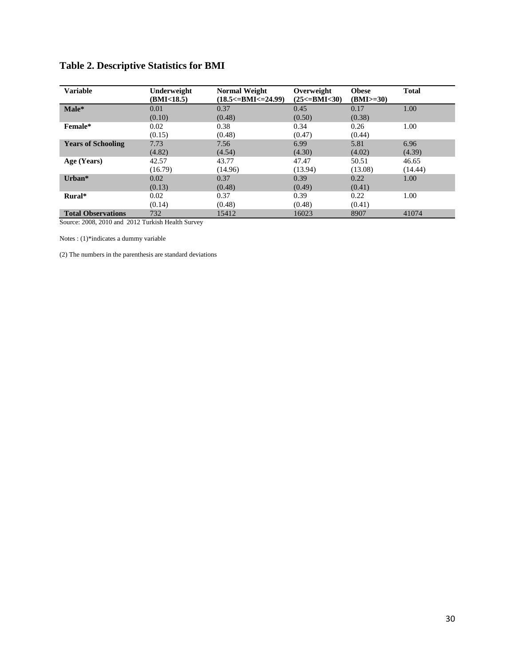|  | <b>Table 2. Descriptive Statistics for BMI</b> |  |  |  |
|--|------------------------------------------------|--|--|--|
|--|------------------------------------------------|--|--|--|

| <b>Variable</b>           | Underweight<br>(BMI<18.5) | <b>Normal Weight</b><br>$(18.5<)=BMI<=24.99$ | Overweight<br>$(25<=BMI<30)$ | <b>Obese</b><br>$(BMI>=30)$ | <b>Total</b> |
|---------------------------|---------------------------|----------------------------------------------|------------------------------|-----------------------------|--------------|
| Male*                     | 0.01                      | 0.37                                         | 0.45                         | 0.17                        | 1.00         |
|                           | (0.10)                    | (0.48)                                       | (0.50)                       | (0.38)                      |              |
| Female*                   | 0.02                      | 0.38                                         | 0.34                         | 0.26                        | 1.00         |
|                           | (0.15)                    | (0.48)                                       | (0.47)                       | (0.44)                      |              |
| <b>Years of Schooling</b> | 7.73                      | 7.56                                         | 6.99                         | 5.81                        | 6.96         |
|                           | (4.82)                    | (4.54)                                       | (4.30)                       | (4.02)                      | (4.39)       |
| Age (Years)               | 42.57                     | 43.77                                        | 47.47                        | 50.51                       | 46.65        |
|                           | (16.79)                   | (14.96)                                      | (13.94)                      | (13.08)                     | (14.44)      |
| Urban $*$                 | 0.02                      | 0.37                                         | 0.39                         | 0.22                        | 1.00         |
|                           | (0.13)                    | (0.48)                                       | (0.49)                       | (0.41)                      |              |
| Rural*                    | 0.02                      | 0.37                                         | 0.39                         | 0.22                        | 1.00         |
|                           | (0.14)                    | (0.48)                                       | (0.48)                       | (0.41)                      |              |
| <b>Total Observations</b> | 732                       | 15412                                        | 16023                        | 8907                        | 41074        |

Source: 2008, 2010 and 2012 Turkish Health Survey

Notes : (1)\*indicates a dummy variable

(2) The numbers in the parenthesis are standard deviations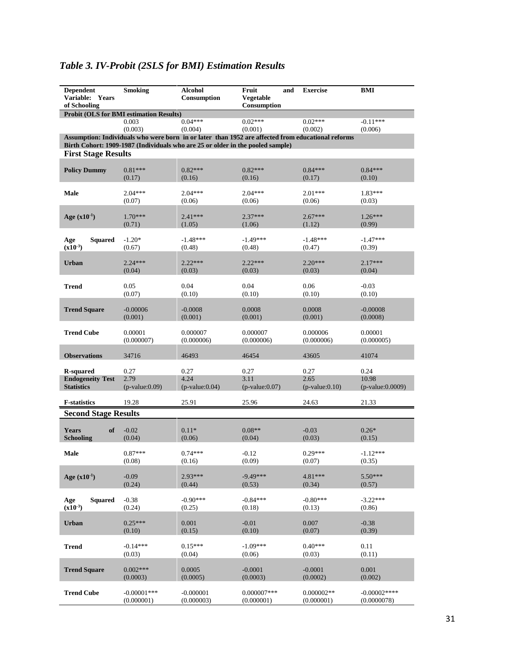| <b>Dependent</b><br>Variable: Years<br>of Schooling | <b>Smoking</b>                                 | <b>Alcohol</b><br>Consumption                                                  | Fruit<br>and<br>Vegetable<br>Consumption                                                          | <b>Exercise</b>       | BMI                |
|-----------------------------------------------------|------------------------------------------------|--------------------------------------------------------------------------------|---------------------------------------------------------------------------------------------------|-----------------------|--------------------|
|                                                     | <b>Probit (OLS for BMI estimation Results)</b> |                                                                                |                                                                                                   |                       |                    |
|                                                     | 0.003                                          | $0.04***$                                                                      | $0.02***$                                                                                         | $0.02***$             | $-0.11***$         |
|                                                     | (0.003)                                        | (0.004)                                                                        | (0.001)                                                                                           | (0.002)               | (0.006)            |
|                                                     |                                                |                                                                                | Assumption: Individuals who were born in or later than 1952 are affected from educational reforms |                       |                    |
|                                                     |                                                | Birth Cohort: 1909-1987 (Individuals who are 25 or older in the pooled sample) |                                                                                                   |                       |                    |
| <b>First Stage Results</b>                          |                                                |                                                                                |                                                                                                   |                       |                    |
|                                                     | $0.81***$                                      | $0.82***$                                                                      | $0.82***$                                                                                         | $0.84***$             | $0.84***$          |
| <b>Policy Dummy</b>                                 | (0.17)                                         | (0.16)                                                                         | (0.16)                                                                                            | (0.17)                | (0.10)             |
|                                                     |                                                |                                                                                |                                                                                                   |                       |                    |
| Male                                                | $2.04***$                                      | $2.04***$                                                                      | $2.04***$                                                                                         | $2.01***$             | 1.83***            |
|                                                     | (0.07)                                         | (0.06)                                                                         | (0.06)                                                                                            | (0.06)                | (0.03)             |
|                                                     |                                                |                                                                                |                                                                                                   |                       |                    |
| Age $(x10^{-1})$                                    | $1.70***$                                      | $2.41***$                                                                      | $2.37***$                                                                                         | $2.67***$             | $1.26***$          |
|                                                     | (0.71)                                         | (1.05)                                                                         | (1.06)                                                                                            | (1.12)                | (0.99)             |
|                                                     |                                                |                                                                                |                                                                                                   |                       |                    |
| Squared<br>Age                                      | $-1.20*$                                       | $-1.48***$                                                                     | $-1.49***$                                                                                        | $-1.48***$            | $-1.47***$         |
| $(x10^{-3})$                                        | (0.67)                                         | (0.48)                                                                         | (0.48)                                                                                            | (0.47)                | (0.39)             |
|                                                     |                                                |                                                                                |                                                                                                   |                       |                    |
| <b>Urban</b>                                        | $2.24***$                                      | $2.22***$                                                                      | $2.22***$                                                                                         | $2.20***$             | $2.17***$          |
|                                                     | (0.04)                                         | (0.03)                                                                         | (0.03)                                                                                            | (0.03)                | (0.04)             |
| <b>Trend</b>                                        | 0.05                                           | 0.04                                                                           | 0.04                                                                                              | 0.06                  | $-0.03$            |
|                                                     | (0.07)                                         | (0.10)                                                                         | (0.10)                                                                                            | (0.10)                | (0.10)             |
|                                                     |                                                |                                                                                |                                                                                                   |                       |                    |
| <b>Trend Square</b>                                 | $-0.00006$                                     | $-0.0008$                                                                      | 0.0008                                                                                            | 0.0008                | $-0.00008$         |
|                                                     | (0.001)                                        | (0.001)                                                                        | (0.001)                                                                                           | (0.001)               | (0.0008)           |
|                                                     |                                                |                                                                                |                                                                                                   |                       |                    |
| <b>Trend Cube</b>                                   | 0.00001                                        | 0.000007                                                                       | 0.000007                                                                                          | 0.000006              | 0.00001            |
|                                                     | (0.000007)                                     | (0.000006)                                                                     | (0.000006)                                                                                        | (0.000006)            | (0.000005)         |
|                                                     |                                                |                                                                                |                                                                                                   |                       |                    |
| <b>Observations</b>                                 | 34716                                          | 46493                                                                          | 46454                                                                                             | 43605                 | 41074              |
|                                                     |                                                |                                                                                |                                                                                                   |                       |                    |
| R-squared                                           | 0.27                                           | 0.27                                                                           | 0.27                                                                                              | 0.27                  | 0.24               |
| <b>Endogeneity Test</b>                             | 2.79                                           | 4.24                                                                           | 3.11                                                                                              | 2.65                  | 10.98              |
| <b>Statistics</b>                                   | $(p-value:0.09)$                               | $(p$ -value: $0.04)$                                                           | $(p$ -value: $0.07)$                                                                              | $(p-value:0.10)$      | $(p-value:0.0009)$ |
| <b>F-statistics</b>                                 | 19.28                                          | 25.91                                                                          | 25.96                                                                                             | 24.63                 | 21.33              |
|                                                     |                                                |                                                                                |                                                                                                   |                       |                    |
| <b>Second Stage Results</b>                         |                                                |                                                                                |                                                                                                   |                       |                    |
|                                                     |                                                |                                                                                |                                                                                                   |                       |                    |
| <b>Years</b><br>of                                  | $-0.02$                                        | $0.11*$                                                                        | $0.08**$                                                                                          | $-0.03$               | $0.26*$            |
| <b>Schooling</b>                                    | (0.04)                                         | (0.06)                                                                         | (0.04)                                                                                            | (0.03)                | (0.15)             |
| Male                                                | $0.87***$                                      | $0.74***$                                                                      | $-0.12$                                                                                           | $0.29***$             | $-1.12***$         |
|                                                     | (0.08)                                         | (0.16)                                                                         | (0.09)                                                                                            | (0.07)                | (0.35)             |
|                                                     |                                                |                                                                                |                                                                                                   |                       |                    |
| Age $(x10^{-1})$                                    | $-0.09$                                        | $2.93***$                                                                      | $-9.49***$                                                                                        | $4.81***$             | $5.50***$          |
|                                                     | (0.24)                                         | (0.44)                                                                         | (0.53)                                                                                            | (0.34)                | (0.57)             |
|                                                     |                                                |                                                                                |                                                                                                   |                       |                    |
| Squared<br>Age                                      | $-0.38$                                        | $-0.90***$                                                                     | $-0.84***$                                                                                        | $-0.80***$            | $-3.22***$         |
| $(x10^{-3})$                                        | (0.24)                                         | (0.25)                                                                         | (0.18)                                                                                            | (0.13)                | (0.86)             |
|                                                     |                                                |                                                                                |                                                                                                   |                       |                    |
| Urban                                               | $0.25***$                                      | 0.001                                                                          | $-0.01$                                                                                           | 0.007                 | $-0.38$            |
|                                                     | (0.10)                                         | (0.15)                                                                         | (0.10)                                                                                            | (0.07)                | (0.39)             |
|                                                     |                                                |                                                                                |                                                                                                   |                       |                    |
| <b>Trend</b>                                        | $-0.14***$                                     | $0.15***$                                                                      | $-1.09***$                                                                                        | $0.40***$             | 0.11               |
|                                                     | (0.03)                                         | (0.04)                                                                         | (0.06)                                                                                            | (0.03)                | (0.11)             |
|                                                     |                                                |                                                                                |                                                                                                   |                       |                    |
| <b>Trend Square</b>                                 | $0.002***$<br>(0.0003)                         | 0.0005<br>(0.0005)                                                             | $-0.0001$<br>(0.0003)                                                                             | $-0.0001$<br>(0.0002) | 0.001<br>(0.002)   |
|                                                     |                                                |                                                                                |                                                                                                   |                       |                    |
| <b>Trend Cube</b>                                   | $-0.00001$ ***                                 | $-0.000001$                                                                    | $0.000007***$                                                                                     | $0.000002**$          | $-0.00002***$      |
|                                                     | (0.000001)                                     | (0.000003)                                                                     | (0.000001)                                                                                        | (0.000001)            | (0.0000078)        |

# *Table 3. IV-Probit (2SLS for BMI) Estimation Results*